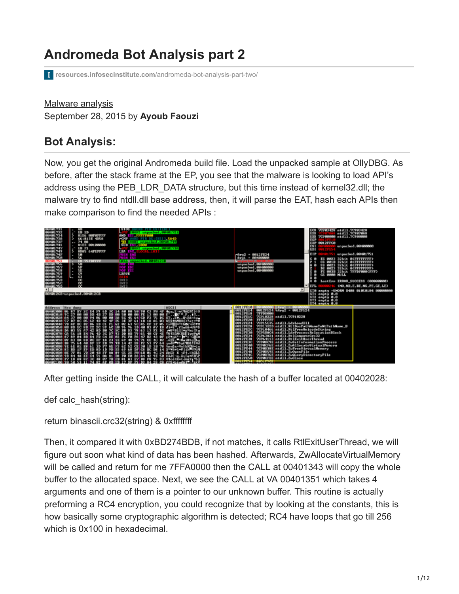# **Andromeda Bot Analysis part 2**

**resources.infosecinstitute.com**[/andromeda-bot-analysis-part-two/](http://resources.infosecinstitute.com/andromeda-bot-analysis-part-two/)

#### [Malware analysis](https://resources.infosecinstitute.com/topics/malware-analysis/) September 28, 2015 by **Ayoub Faouzi**

## **Bot Analysis:**

Now, you get the original Andromeda build file. Load the unpacked sample at OllyDBG. As before, after the stack frame at the EP, you see that the malware is looking to load API's address using the PEB\_LDR\_DATA structure, but this time instead of kernel32.dll; the malware try to find ntdll.dll base address, then, it will parse the EAT, hash each APIs then make comparison to find the needed APIs :



After getting inside the CALL, it will calculate the hash of a buffer located at 00402028:

def calc\_hash(string):

#### return binascii.crc32(string) & 0xffffffff

Then, it compared it with 0xBD274BDB, if not matches, it calls RtlExitUserThread, we will figure out soon what kind of data has been hashed. Afterwards, ZwAllocateVirtualMemory will be called and return for me 7FFA0000 then the CALL at 00401343 will copy the whole buffer to the allocated space. Next, we see the CALL at VA 00401351 which takes 4 arguments and one of them is a pointer to our unknown buffer. This routine is actually preforming a RC4 encryption, you could recognize that by looking at the constants, this is how basically some cryptographic algorithm is detected; RC4 have loops that go till 256 which is 0x100 in hexadecimal.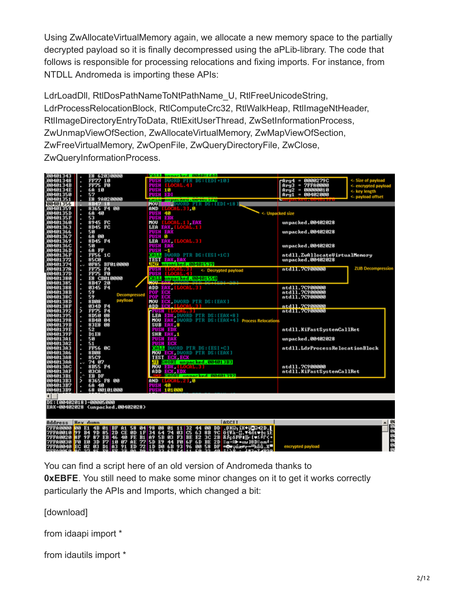Using ZwAllocateVirtualMemory again, we allocate a new memory space to the partially decrypted payload so it is finally decompressed using the aPLib-library. The code that follows is responsible for processing relocations and fixing imports. For instance, from NTDLL Andromeda is importing these APIs:

LdrLoadDll, RtlDosPathNameToNtPathName\_U, RtlFreeUnicodeString, LdrProcessRelocationBlock, RtlComputeCrc32, RtlWalkHeap, RtlImageNtHeader, RtlImageDirectoryEntryToData, RtlExitUserThread, ZwSetInformationProcess, ZwUnmapViewOfSection, ZwAllocateVirtualMemory, ZwMapViewOfSection, ZwFreeVirtualMemory, ZwOpenFile, ZwQueryDirectoryFile, ZwClose, ZwQueryInformationProcess.

|                      | <b>E8 62030000</b><br>٠                    | <b>CALL unnacked M8481688</b>                                                                                                                                                                                                                                 |                                                          |
|----------------------|--------------------------------------------|---------------------------------------------------------------------------------------------------------------------------------------------------------------------------------------------------------------------------------------------------------------|----------------------------------------------------------|
| 00401343<br>00401348 | FF77 10                                    | PUSH DWORD PTR DS: (EDI+10)                                                                                                                                                                                                                                   | << Size of payload<br>$rArg4 = 0000279C$                 |
| 0040134B             | <b>FF75 FØ</b>                             | <b>PUSH LLC</b>                                                                                                                                                                                                                                               | Arg3<br><b>7FFA0000</b><br>l<br><- encrypted payload     |
| 0040134E             | 6A 10                                      | <b>PUSH 10</b>                                                                                                                                                                                                                                                | $Area2 = 00000010$<br><- key length<br><- payload offset |
| 00401350<br>00401351 | 57                                         | <b>PUSH EDI</b>                                                                                                                                                                                                                                               | $R_{12}1 = 00402000$                                     |
|                      | E8 9A020000                                | MART MIRREREN OUTBLIST DE 181                                                                                                                                                                                                                                 | <b>In the construction of the construction</b>           |
| 00401356             | 8B47 18                                    |                                                                                                                                                                                                                                                               |                                                          |
| 00401359<br>0040135D | 8365 F4 00                                 | AND <b>ELOC</b>                                                                                                                                                                                                                                               |                                                          |
| 0040135F             | 68 40                                      | <b>PUSH 48</b><br>PUSH EBX<br><- Unpacked size                                                                                                                                                                                                                |                                                          |
| 00401360             | 53<br>8945 FC                              | MOU<br>$-1$ $-$ EAX                                                                                                                                                                                                                                           | unpacked.00402028                                        |
| 88481363             | ٠<br>8D45 FC                               | LEA<br>EAX,                                                                                                                                                                                                                                                   |                                                          |
| 88481366             | ٠<br>50                                    | <b>PUSH EAX</b>                                                                                                                                                                                                                                               | unpacked.00402028                                        |
| 00401367             | 6A 00                                      | <b>PUSH 0</b>                                                                                                                                                                                                                                                 |                                                          |
| 00401369             | 8D45 F4                                    | LEA EAX, [LOCAL.3]                                                                                                                                                                                                                                            |                                                          |
| 0040136C             | 50<br>٠                                    | <b>PUSH EAX</b>                                                                                                                                                                                                                                               | unpacked.00402028                                        |
| 0040136D             | 6A FF                                      |                                                                                                                                                                                                                                                               |                                                          |
|                      | FF56 1C                                    | PUSH -1<br>CALL DWORD PTR DS:(ESI+1C)                                                                                                                                                                                                                         | ntdll.ZwAllocateUirtualMemory                            |
| 0040136F<br>00401372 | 85CØ<br>ı                                  | <b>TEST FAX EAX</b>                                                                                                                                                                                                                                           | unpacked.00402028                                        |
| 88481374             | 8F85 BF010000<br>$\sim$                    | JNZ unpacked.00401539                                                                                                                                                                                                                                         |                                                          |
| 0040137A             |                                            | <- Decrypted payload                                                                                                                                                                                                                                          | <b>ZLIB Decompression</b><br>ntd11.7C900000              |
| 0040137D             | <b>FF75 F4<br/>FF75 F0</b>                 | PUSH (LOCAL.4)                                                                                                                                                                                                                                                |                                                          |
| 00401380             | E8 CB010000<br>٠                           | <b>CALL</b> unpacked.00401550                                                                                                                                                                                                                                 |                                                          |
| 88481385             | 8B47 20                                    |                                                                                                                                                                                                                                                               |                                                          |
| 00401388             | 0345 F4                                    | EAX [LOCAL.3]<br>ADD                                                                                                                                                                                                                                          | ntd11.7C900000<br>ntd11.7C900000                         |
| 0040138B             | 59<br>59<br>٠<br><b>Decompressed</b>       | POP<br>ECX                                                                                                                                                                                                                                                    |                                                          |
| 0040138C             | ı                                          | POP<br>ECX                                                                                                                                                                                                                                                    | ntd11.7C900000                                           |
| 0040138D             | paylload<br><b>8 BØS</b>                   | ECX DWORD PIR DS: [EAX]<br>HOU                                                                                                                                                                                                                                |                                                          |
| 0040138F             | 834D F4<br>FF75 F4<br>$\ddot{\phantom{0}}$ | <b>ADD ECX LLOCAL 31</b>                                                                                                                                                                                                                                      | ntd11.7C900000                                           |
| 00401392             |                                            | <b>THISK BROOM ASS</b>                                                                                                                                                                                                                                        | ntd11.7C900000                                           |
| 00401395             | 8D50 08<br>٠                               | LEA EDX DUORD PTR DS: [EAX+8]                                                                                                                                                                                                                                 |                                                          |
| 88481398             | 8B48 04                                    | MOU EAX DIJORD PTR DS: [EAX+4] Process Relocatio                                                                                                                                                                                                              |                                                          |
| 0040139B             | 83E8 08                                    | SUB EAX 8                                                                                                                                                                                                                                                     |                                                          |
| 0040139E<br>0040139F | 52<br>٠                                    | <b>PUSH EDX</b><br>SHR EAX 1                                                                                                                                                                                                                                  | ntdll.KiFastSystemCallRet                                |
|                      | <b>D1E8</b>                                |                                                                                                                                                                                                                                                               |                                                          |
| 884813A1<br>88481382 | 50<br>51                                   | PUSH EAX<br>FUSH                                                                                                                                                                                                                                              | unpacked.00402028                                        |
| 004013A3             | <b>FF56 0C</b>                             | <b>MALL DUORD PIR DS:[ESI+C]</b>                                                                                                                                                                                                                              | ntdll.LdrProcessRelocationBlock                          |
| 004013A6             | ٠<br><b>8B08</b>                           | <b>MOU ECX DUORD PTR DS:[EAX]</b>                                                                                                                                                                                                                             |                                                          |
| 884813A8             | <b>85C9</b>                                | <b>TEST ECX, ECX</b>                                                                                                                                                                                                                                          |                                                          |
| 004013AA             | 74 07                                      | JE SHORT unpacked.004013B3                                                                                                                                                                                                                                    |                                                          |
| 004013AC             | 8B55 F4<br>٠                               |                                                                                                                                                                                                                                                               | ntd11.7C900000                                           |
| 004013AF             | <b>83CA</b><br>ı                           | HOU EDX (LOCAL.3)<br>ADD ECX EDX                                                                                                                                                                                                                              | ntdll.KiFastSystemCallRet                                |
| 004013B1             | EB DF                                      | SHORT unnacked 88481392                                                                                                                                                                                                                                       |                                                          |
| 004013B3             | $\dot{\circ}$<br>8365 F8 00                | AND [LOCAL.2],0                                                                                                                                                                                                                                               |                                                          |
| 004013B7             | 6A 40<br>٠                                 | <b>PUSH 40</b>                                                                                                                                                                                                                                                |                                                          |
| 884813B9             | 68 00101000                                | <b>PUSH 101000</b>                                                                                                                                                                                                                                            |                                                          |
|                      |                                            |                                                                                                                                                                                                                                                               |                                                          |
|                      |                                            |                                                                                                                                                                                                                                                               |                                                          |
|                      | DS: [00402018]-00005000                    |                                                                                                                                                                                                                                                               |                                                          |
|                      | EAX=00402028 (unpacked.00402028)           |                                                                                                                                                                                                                                                               |                                                          |
|                      |                                            |                                                                                                                                                                                                                                                               |                                                          |
|                      |                                            |                                                                                                                                                                                                                                                               |                                                          |
| Address              | <b>Hex</b> dunn                            | <b>ASCII</b>                                                                                                                                                                                                                                                  | ब् <del>हार हा है।</del><br>बाह्य होने के                |
|                      |                                            | <b>7FFA86888 88 E1 4B 81 BF A1 58 84 98 88 81 11 32 44 88 DD .0KG<sub>1</sub> 1X+yDa-2D.1<br/>7FFA8618 89 84 9D 85 2D CE 8D 1F 34 64 87 74 83 C5 63 88 90 90 .0KG<sub>1</sub> 1×4d+gil-<br/>7FFA8628 8F 9F 87 EB 46 48 FE B1 A9 5B 83 F3 BE E2 3C 2B 84c6</b> |                                                          |
|                      |                                            |                                                                                                                                                                                                                                                               |                                                          |
|                      |                                            |                                                                                                                                                                                                                                                               |                                                          |
|                      |                                            |                                                                                                                                                                                                                                                               |                                                          |
|                      | 7FFA0040 EC 02 03 D1 A3 91                 | ED 72 1D D0 6B 93 96 00 58 DF "OV distrull kon. X"                                                                                                                                                                                                            | encrypted payload                                        |

You can find a script here of an old version of Andromeda thanks to **0xEBFE**. You still need to make some minor changes on it to get it works correctly particularly the APIs and Imports, which changed a bit:

[download]

from idaapi import \*

from idautils import \*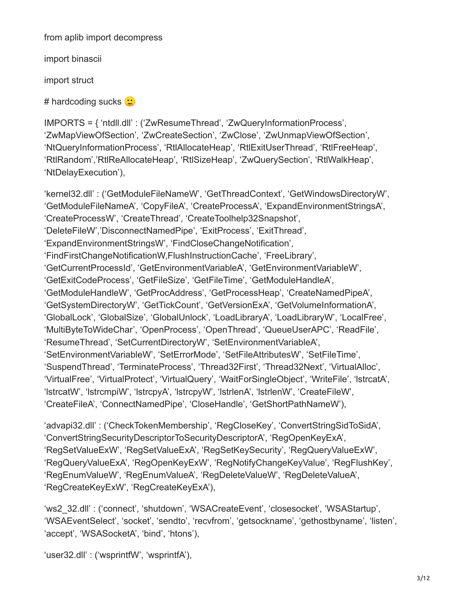from aplib import decompress

import binascii

import struct

# hardcoding sucks  $\bullet$ 

IMPORTS = { 'ntdll.dll' : ('ZwResumeThread', 'ZwQueryInformationProcess', 'ZwMapViewOfSection', 'ZwCreateSection', 'ZwClose', 'ZwUnmapViewOfSection', 'NtQueryInformationProcess', 'RtlAllocateHeap', 'RtlExitUserThread', 'RtlFreeHeap', 'RtlRandom','RtlReAllocateHeap', 'RtlSizeHeap', 'ZwQuerySection', 'RtlWalkHeap', 'NtDelayExecution'),

'kernel32.dll' : ('GetModuleFileNameW', 'GetThreadContext', 'GetWindowsDirectoryW', 'GetModuleFileNameA', 'CopyFileA', 'CreateProcessA', 'ExpandEnvironmentStringsA', 'CreateProcessW', 'CreateThread', 'CreateToolhelp32Snapshot', 'DeleteFileW','DisconnectNamedPipe', 'ExitProcess', 'ExitThread', 'ExpandEnvironmentStringsW', 'FindCloseChangeNotification', 'FindFirstChangeNotificationW,FlushInstructionCache', 'FreeLibrary', 'GetCurrentProcessId', 'GetEnvironmentVariableA', 'GetEnvironmentVariableW', 'GetExitCodeProcess', 'GetFileSize', 'GetFileTime', 'GetModuleHandleA', 'GetModuleHandleW', 'GetProcAddress', 'GetProcessHeap', 'CreateNamedPipeA', 'GetSystemDirectoryW', 'GetTickCount', 'GetVersionExA', 'GetVolumeInformationA', 'GlobalLock', 'GlobalSize', 'GlobalUnlock', 'LoadLibraryA', 'LoadLibraryW', 'LocalFree', 'MultiByteToWideChar', 'OpenProcess', 'OpenThread', 'QueueUserAPC', 'ReadFile', 'ResumeThread', 'SetCurrentDirectoryW', 'SetEnvironmentVariableA', 'SetEnvironmentVariableW', 'SetErrorMode', 'SetFileAttributesW', 'SetFileTime', 'SuspendThread', 'TerminateProcess', 'Thread32First', 'Thread32Next', 'VirtualAlloc', 'VirtualFree', 'VirtualProtect', 'VirtualQuery', 'WaitForSingleObject', 'WriteFile', 'lstrcatA', 'lstrcatW', 'lstrcmpiW', 'lstrcpyA', 'lstrcpyW', 'lstrlenA', 'lstrlenW', 'CreateFileW', 'CreateFileA', 'ConnectNamedPipe', 'CloseHandle', 'GetShortPathNameW'),

'advapi32.dll' : ('CheckTokenMembership', 'RegCloseKey', 'ConvertStringSidToSidA', 'ConvertStringSecurityDescriptorToSecurityDescriptorA', 'RegOpenKeyExA', 'RegSetValueExW', 'RegSetValueExA', 'RegSetKeySecurity', 'RegQueryValueExW', 'RegQueryValueExA', 'RegOpenKeyExW', 'RegNotifyChangeKeyValue', 'RegFlushKey', 'RegEnumValueW', 'RegEnumValueA', 'RegDeleteValueW', 'RegDeleteValueA', 'RegCreateKeyExW', 'RegCreateKeyExA'),

'ws2\_32.dll' : ('connect', 'shutdown', 'WSACreateEvent', 'closesocket', 'WSAStartup', 'WSAEventSelect', 'socket', 'sendto', 'recvfrom', 'getsockname', 'gethostbyname', 'listen', 'accept', 'WSASocketA', 'bind', 'htons'),

'user32.dll' : ('wsprintfW', 'wsprintfA'),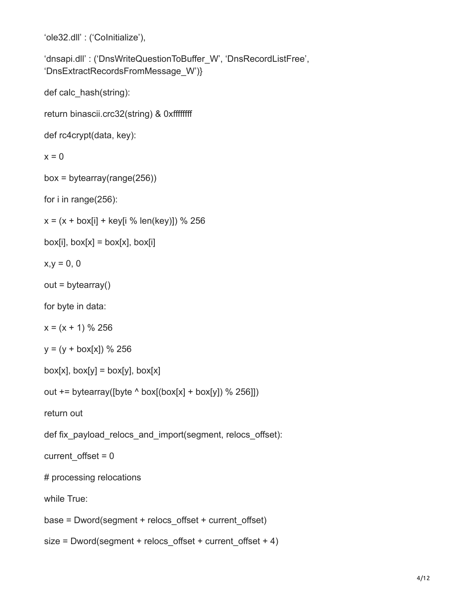```
'ole32.dll' : ('CoInitialize'),
```

```
'dnsapi.dll' : ('DnsWriteQuestionToBuffer_W', 'DnsRecordListFree',
'DnsExtractRecordsFromMessage_W')}
```

```
def calc_hash(string):
```

```
return binascii.crc32(string) & 0xffffffff
```

```
def rc4crypt(data, key):
```

```
x = 0
```

```
box = bytearray(range(256))
```
for i in range(256):

 $x = (x + box[i] + key[i\% len(key)])$  % 256

```
box[i], box[x] = box[x], box[i]
```

```
x,y = 0, 0
```

```
out = bytearray()
```
for byte in data:

```
x = (x + 1) % 256
```

```
y = (y + box[x]) % 256
```

```
box[x], box[y] = box[y], box[x]
```

```
out += bytearray([byte \land box[(box[x] + box[y]) \% 256]])
```
return out

def fix payload relocs and import(segment, relocs offset):

```
current offset = 0
```

```
# processing relocations
```
while True:

```
base = Dword(segment + relocs_offset + current_offset)
```

```
size = Dword(segment + relocs offset + current offset + 4)
```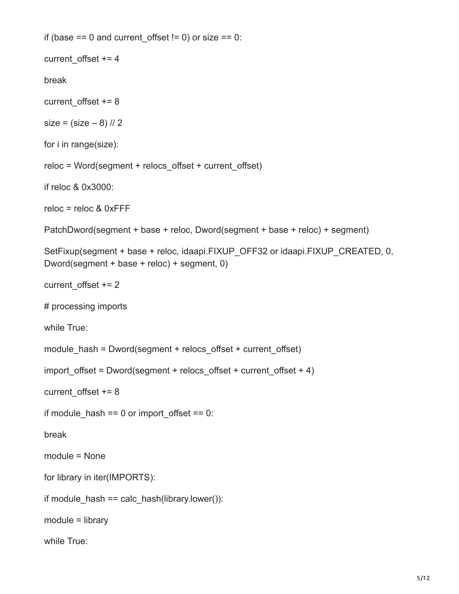```
if (base == 0 and current offset != 0) or size == 0:
current offset += 4break
current offset += 8size = (size - 8) // 2
for i in range(size):
reloc = Word(segment + relocs_offset + current_offset)
if reloc & 0x3000:
reloc = reloc & 0xFFF
PatchDword(segment + base + reloc, Dword(segment + base + reloc) + segment)
SetFixup(segment + base + reloc, idaapi.FIXUP_OFF32 or idaapi.FIXUP_CREATED, 0,
Dword(segment + base + reloc) + segment, 0)
current_offset += 2
# processing imports
while True:
module hash = Dword(segment + relocs offset + current offset)
import_offset = Dword(segment + relocs_offset + current_offset + 4)
current offset += 8if module hash == 0 or import offset == 0:
break
module = None
for library in iter(IMPORTS):
if module hash == calc hash(library.lower()):
module = library
while True:
```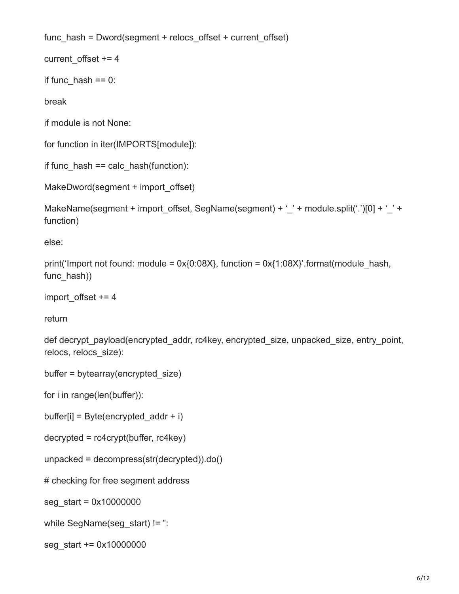func\_hash =  $Dword(segment + relocs$  offset + current\_offset)

current offset  $+= 4$ 

```
if func hash == 0:
```
break

if module is not None:

for function in iter(IMPORTS[module]):

if func\_hash == calc\_hash(function):

```
MakeDword(segment + import_offset)
```

```
MakeName(segment + import_offset, SegName(segment) + '_' + module.split('.')[0] + '_' +
function)
```
else:

```
print('Import not found: module = 0x{0:08X}, function = 0x{1:08X}'.format(module hash,
func_hash))
```
import offset  $+= 4$ 

return

def decrypt\_payload(encrypted\_addr, rc4key, encrypted\_size, unpacked\_size, entry\_point, relocs, relocs\_size):

```
buffer = bytearray(encrypted_size)
```
for i in range(len(buffer)):

buffer[i] = Byte(encrypted  $addr + i$ )

decrypted = rc4crypt(buffer, rc4key)

unpacked = decompress(str(decrypted)).do()

# checking for free segment address

seg\_start = 0x10000000

while SegName(seg\_start) != ":

seg\_start += 0x10000000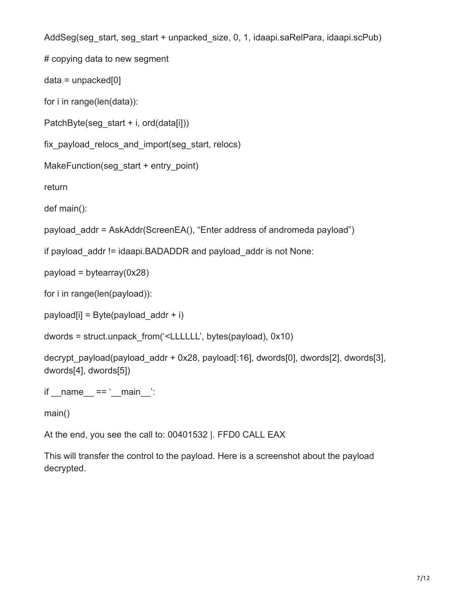AddSeg(seg\_start, seg\_start + unpacked\_size, 0, 1, idaapi.saRelPara, idaapi.scPub)

# copying data to new segment

 $data = unpacket[0]$ 

for i in range(len(data)):

PatchByte(seg\_start + i, ord(data[i]))

fix payload relocs and import(seg start, relocs)

```
MakeFunction(seg_start + entry_point)
```
return

def main():

```
payload_addr = AskAddr(ScreenEA(), "Enter address of andromeda payload")
```
if payload addr != idaapi.BADADDR and payload addr is not None:

 $payload = bytearray(0x28)$ 

for i in range(len(payload)):

```
payload[i] = Byte(payload addr + i)
```
dwords = struct.unpack\_from('<LLLLLL', bytes(payload), 0x10)

decrypt payload(payload addr + 0x28, payload[:16], dwords[0], dwords[2], dwords[3], dwords[4], dwords[5])

if  $name = '$  main  $'$ :

main()

At the end, you see the call to: 00401532 |. FFD0 CALL EAX

This will transfer the control to the payload. Here is a screenshot about the payload decrypted.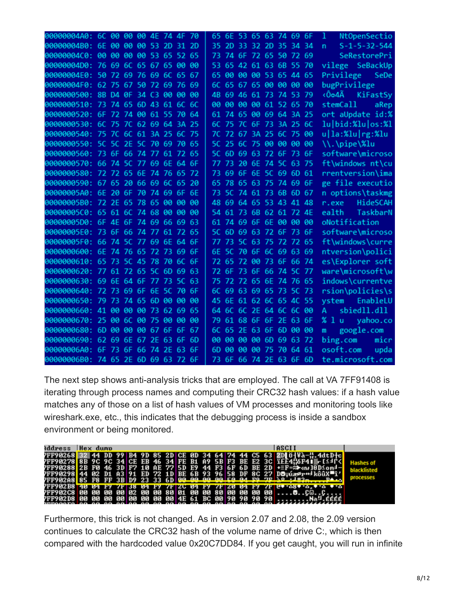| 00000004A0: 6C 00 00 00 4E 74 4F 70 |                         |           |          |                   |                |           |            |           |       |           |       |                | 65 6E 53 65 63 74 69 6F |             |          |     | NtOpenSectio<br>1           |
|-------------------------------------|-------------------------|-----------|----------|-------------------|----------------|-----------|------------|-----------|-------|-----------|-------|----------------|-------------------------|-------------|----------|-----|-----------------------------|
| 00000004B0: 6E 00 00 00 53 2D 31 2D |                         |           |          |                   |                |           |            |           | 35.   | - 2D      |       |                | 33 32 2D 35             |             | 34 34    |     | $S - 1 - 5 - 32 - 544$<br>n |
| 00000004C0: 00 00 00 00 53 65 52 65 |                         |           |          |                   |                |           |            |           | 73    |           |       |                | 74 6F 72 65 50 72 69    |             |          |     | SeRestorePri                |
| 00000004D0: 76 69 6C 65 67 65       |                         |           |          |                   |                |           | 00 00      |           |       |           |       |                | 53 65 42 61 63 6B 55 70 |             |          |     | vilege SeBackUp             |
| 00000004E0: 50 72 69 76 69 6C       |                         |           |          |                   |                |           | 65 67      |           | 65.   |           |       |                | 00 00 00 53 65 44 65    |             |          |     | Privilege<br>SeDe           |
| 00000004F0:                         |                         | 62 75 67  |          | -50               | 72             | 69        | 76 69      |           | 6C    | 65        | 67    | 65             | 00                      | 00 00       |          | 00  | bugPrivilege                |
| 0000000500:                         |                         | 8B D4 0F  |          | 34 C3             |                | 00        | 90         | 90        | 4B    | 69        | 46    | 61             | 73                      | 74 53 79    |          |     | <Ôo4Ã<br>KiFastSy           |
| 0000000510: 73 74 65 6D 43          |                         |           |          |                   |                | -61       | 6C 6C      |           | øø    | øø        | 90    | 00             | 61                      | 52 65 70    |          |     | stemCall<br>aRep            |
| 0000000520: 6F                      |                         |           |          | 72 74 00 61       |                | -55       | 70 64      |           | 61    |           | 74 65 |                | 00 69 64 3A 25          |             |          |     | ort aUpdate id:%            |
| 0000000530: 6C 75 7C 62 69 64       |                         |           |          |                   |                |           | 3A 25      |           | 6C    |           | 75 7C | 6F 73          |                         | 3A 25 6C    |          |     | $lu bid:\%lu os:\%1$        |
| 0000000540: 75 7C 6C                |                         |           |          | - 61              | 3A 25          |           | 6C         | 75        | 7С    |           | -67   | 3A 25          |                         | 6C          | 75 00    |     | $u l$ a:% $lu rg:$ % $lu$   |
| 0000000550: 5C                      |                         |           |          | 5C 2E 5C          | 70 69          |           | 70 65      |           | 5C    | 25        | 6C    | 75             | 00                      | 00          | 80       | 00  | \\.\pipe\%lu                |
| 0000000560: 73 6F 66 74 77 61 72 65 |                         |           |          |                   |                |           |            |           | 5С.   |           | 6D 69 |                | 63 72 6F                |             | 73 6F    |     | software\microso            |
| 0000000570: 66 74 5C 77 69 6E       |                         |           |          |                   |                |           | 64 6F      |           | 77    | 73        | -20   |                | 6E 74 5C 63 75          |             |          |     | ft\windows nt\cu            |
| 0000000580: 72 72 65 6E 74 76 65 72 |                         |           |          |                   |                |           |            |           | 73    | 69        | 6F    |                | 6E 5C 69 6D 61          |             |          |     | rrentversion\ima            |
| 0000000590: 67 65 20 66 69 6C       |                         |           |          |                   |                |           | 65 20      |           | 65    | 78        | -65   | 63             | 75 74 69 6F             |             |          |     | ge file executio            |
| 00000005A0:                         | 6E                      | 20 6F     |          | 70                | 74 69          |           | 6F         | <b>6E</b> | 73    | <b>5C</b> | 74    | 61             | -73                     |             | 6B 6D 67 |     | n options\taskmg            |
| 00000005B0:                         |                         |           |          | 72 2E 65 78 65 00 |                |           | <b>a</b> a | 00        | 48    | 69        | -64   |                | 65 53                   | 43 41       |          | 48  | HideSCAH<br>r.exe           |
| 00000005C0: 65 61 6C 74 68          |                         |           |          |                   |                | 90        | øø         | 90        | 54    | 61        | -73.  |                | 6B 62 61 72 4E          |             |          |     | ealth<br>TaskbarN           |
| 00000005D0: 6F 4E 6F 74 69 66       |                         |           |          |                   |                |           | 69 63      |           | 61    |           |       |                | 74 69 6F 6E 00 00       |             |          | 90  | oNotification               |
| 000000005E0: 73 6F 66 74 77 61      |                         |           |          |                   |                |           | 72 65      |           |       |           |       |                | 5C 6D 69 63 72 6F 73 6F |             |          |     | software\microso            |
| 00000005F0: 66                      |                         |           | 74 5C 77 |                   | -69            | 6E        | 64 6F      |           | 77    |           | 5C    | 63 75          |                         | 72 72 65    |          |     | ft\windows\curre            |
| 0000000600: 6E 74 76 65             |                         |           |          |                   | 72 73          |           | 69 6F      |           | 6Е    | <b>5C</b> | -70   |                | 6F 6C 69 63 69          |             |          |     | ntversion\polici            |
| 0000000610: 65 73 5C 45 78 70       |                         |           |          |                   |                |           | 6C 6F      |           |       |           |       |                | 72 65 72 00 73 6F 66 74 |             |          |     | es\Explorer soft            |
| 0000000620: 77 61 72 65 5C 6D       |                         |           |          |                   |                |           | 69 63      |           |       |           |       | 72 6F 73 6F 66 |                         | 74 5C 77    |          |     | ware\microsoft\w            |
| 0000000630: 69 6E 64 6F 77 73 5C 63 |                         |           |          |                   |                |           |            |           | 75    |           |       | 72 72 65 6E    |                         | 74 76 65    |          |     | indows\currentve            |
| 0000000640: 72 73 69 6F 6E          |                         |           |          |                   |                | <b>5C</b> | 70 6F      |           | 6C    | 69        | 63    |                | 69 65 73                |             | -50      | -73 | rsion\policies\s            |
| 0000000650:                         | 79                      | 73 74     |          | 65                | 6 <sub>D</sub> | 00        | <b>a</b> a | <b>a</b>  | 45    | <b>6E</b> | 61    | 62             | <b>6C</b>               | 65 4C 55    |          |     | EnableLU<br>ystem           |
| 0000000660:                         | 41                      | <b>BO</b> | 90       | 00                | 73             | -62       | 69 65      |           | 64 6C |           |       |                | 6C 2E 64 6C 6C 00       |             |          |     | sbiedll.dll<br>A            |
| 0000000670:                         | 25.                     | 00 6C     |          | 00                | 75             | <b>00</b> | 00         | 00        | 79    | 61        | -68   |                | 6F 6F 2E 63 6F          |             |          |     | % 1 u<br>yahoo.co           |
| 0000000680:                         | 6D                      |           |          | 00 00 00 67       |                | 6F        | 6F 67      |           | 6C.   |           | 65 2E |                | 63 6F 6D 00 00          |             |          |     | google.com<br>m             |
| 0000000690: 62 69 6E 67 2E 63       |                         |           |          |                   |                |           |            | 6F 6D     | 00    | 00        | 00    | 00             |                         | 6D 69 63 72 |          |     | bing.com<br>micr            |
| 00000006A0: 6F                      |                         | 73.       | 6F       | -66               | 74             | <b>2E</b> | 63         | 6F        | 6D    | øø        | øø    | øø             | 75                      | 70          | 64       | 61  | osoft.com<br>upda           |
| 00000006B0:                         | 74 65 2E 6D 69 63 72 6F |           |          |                   |                |           |            |           | 73.   |           |       |                | 6F 66 74 2E 63 6F 6D    |             |          |     | te.microsoft.com            |

The next step shows anti-analysis tricks that are employed. The call at VA 7FF91408 is iterating through process names and computing their CRC32 hash values: if a hash value matches any of those on a list of hash values of VM processes and monitoring tools like wireshark.exe, etc., this indicates that the debugging process is inside a sandbox environment or being monitored.

| ddress  Hex dump                                                          |  |  |  |  |  |  |  |  | <b>ASCII</b>                                                                  |           |
|---------------------------------------------------------------------------|--|--|--|--|--|--|--|--|-------------------------------------------------------------------------------|-----------|
|                                                                           |  |  |  |  |  |  |  |  | PFF90268 32 44 DD 99 B4 9D 85 2D CE 0D 34 64 74 44 C5 63 2D 0 4 4.            |           |
|                                                                           |  |  |  |  |  |  |  |  | PFF90278 8B 9C 9C 34 CE EB 46 34 FE B1 A9 5B F3 BE E2 3C TEE4{SF41}-[24f'<    |           |
|                                                                           |  |  |  |  |  |  |  |  | PFF90288 2B F0 46 3D F7 10 AE 77 5D E9 44 F3 6F 6D BE 2D +≡F=≈+«v10D≤omd-     |           |
|                                                                           |  |  |  |  |  |  |  |  | PFF90298 44 02 D1 A3 91 ED 72 1D BE 6B 93 96 58 DF 8C 27 D⊜∓úæ≶r⇔lkôûX■î'     | processes |
|                                                                           |  |  |  |  |  |  |  |  | 7FF902A8 85 F8 FF 3B D9 23 33 6D 00 00 00 00 00 00 F8 04 P9 7P 30 - 1H2m PA.s |           |
|                                                                           |  |  |  |  |  |  |  |  | 7FF902B8 40 04 F9 7F 38 04 F9 7F ZG 04 F9 7F Z0 04 F9 7F 09 04 59 7F          |           |
|                                                                           |  |  |  |  |  |  |  |  | PFF902C8 00 00 00 00 02 00 00 80 01 00 00 80 00 00 00 00 □C                   |           |
| 2FF902D8 00 00 00 00 00 00 00 00 00 4E 61 BC 00 90 90 90 90<br>IBBAARA AA |  |  |  |  |  |  |  |  |                                                                               |           |

Furthermore, this trick is not changed. As in version 2.07 and 2.08, the 2.09 version continues to calculate the CRC32 hash of the volume name of drive C:, which is then compared with the hardcoded value 0x20C7DD84. If you get caught, you will run in infinite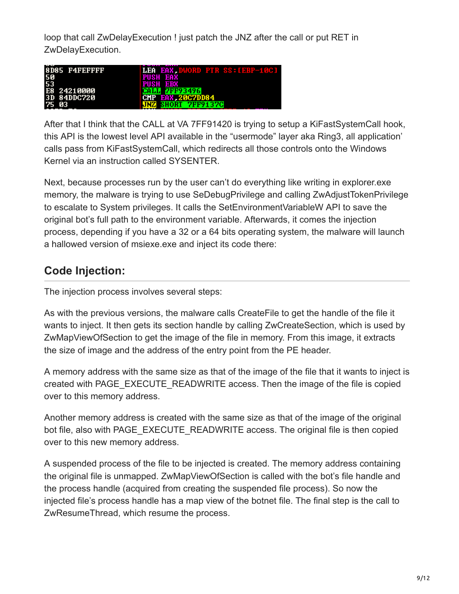loop that call ZwDelayExecution ! just patch the JNZ after the call or put RET in ZwDelayExecution.

| 8D85 F4FEEFFF | LEA EAX DWORD PTR SS: [EBP-10C] |
|---------------|---------------------------------|
| 50            | PUSH EAX                        |
| 53            | <b>PUSH EBX</b>                 |
| E8 24210000   | <b>CALL 7FF93496</b>            |
| 3D 84DDC720   | CMP EAX 20C7DD84                |
| 75 03         | <b>JNZ SHORT 7FF9137C</b>       |

After that I think that the CALL at VA 7FF91420 is trying to setup a KiFastSystemCall hook, this API is the lowest level API available in the "usermode" layer aka Ring3, all application' calls pass from KiFastSystemCall, which redirects all those controls onto the Windows Kernel via an instruction called SYSENTER.

Next, because processes run by the user can't do everything like writing in explorer.exe memory, the malware is trying to use SeDebugPrivilege and calling ZwAdjustTokenPrivilege to escalate to System privileges. It calls the SetEnvironmentVariableW API to save the original bot's full path to the environment variable. Afterwards, it comes the injection process, depending if you have a 32 or a 64 bits operating system, the malware will launch a hallowed version of msiexe.exe and inject its code there:

# **Code Injection:**

The injection process involves several steps:

As with the previous versions, the malware calls CreateFile to get the handle of the file it wants to inject. It then gets its section handle by calling ZwCreateSection, which is used by ZwMapViewOfSection to get the image of the file in memory. From this image, it extracts the size of image and the address of the entry point from the PE header.

A memory address with the same size as that of the image of the file that it wants to inject is created with PAGE\_EXECUTE\_READWRITE access. Then the image of the file is copied over to this memory address.

Another memory address is created with the same size as that of the image of the original bot file, also with PAGE\_EXECUTE\_READWRITE access. The original file is then copied over to this new memory address.

A suspended process of the file to be injected is created. The memory address containing the original file is unmapped. ZwMapViewOfSection is called with the bot's file handle and the process handle (acquired from creating the suspended file process). So now the injected file's process handle has a map view of the botnet file. The final step is the call to ZwResumeThread, which resume the process.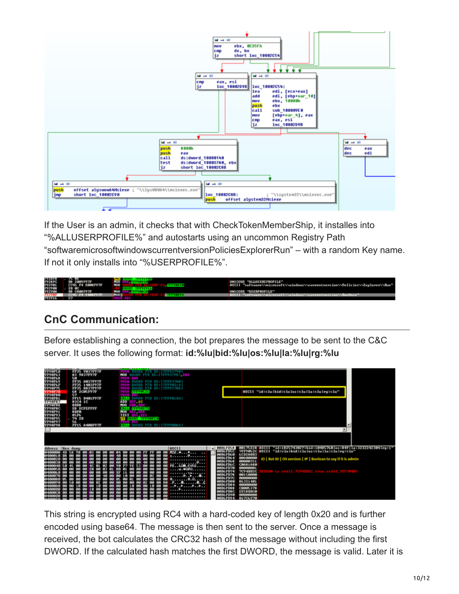

If the User is an admin, it checks that with CheckTokenMemberShip, it installes into "%ALLUSERPROFILE%" and autostarts using an uncommon Registry Path "softwaremicrosoftwindowscurrentversionPoliciesExplorerRun" – with a random Key name. If not it only installs into "%USERPROFILE%".

|                                      |                   | <b>A FRAPROPELLY</b>                                                          |
|--------------------------------------|-------------------|-------------------------------------------------------------------------------|
|                                      | <b>STATISTICS</b> | #SCII "software\\microsoft\\uindous\\currentversion\\Policies\\Explorer\\Run" |
|                                      |                   |                                                                               |
| 172819<br>172981<br>172988<br>172988 | <b>AND PART</b>   | UNICODE "USERPROFILE"                                                         |
|                                      |                   | <b>AND REAL PROPERTY</b>                                                      |
| <b>SOUTHERN</b>                      |                   |                                                                               |

# **CnC Communication:**

Before establishing a connection, the bot prepares the message to be sent to the C&C server. It uses the following format: **id:%lu|bid:%lu|os:%lu|la:%lu|rg:%lu**



This string is encrypted using RC4 with a hard-coded key of length 0x20 and is further encoded using base64. The message is then sent to the server. Once a message is received, the bot calculates the CRC32 hash of the message without including the first DWORD. If the calculated hash matches the first DWORD, the message is valid. Later it is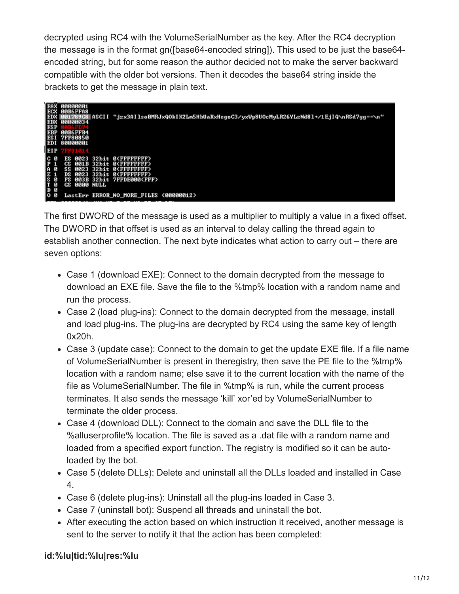decrypted using RC4 with the VolumeSerialNumber as the key. After the RC4 decryption the message is in the format gn([base64-encoded string]). This used to be just the base64 encoded string, but for some reason the author decided not to make the server backward compatible with the older bot versions. Then it decodes the base64 string inside the brackets to get the message in plain text.

| EAX                    | 00000001                        |                                                                                      |
|------------------------|---------------------------------|--------------------------------------------------------------------------------------|
| ECX                    | <b>00B6FFA8</b>                 |                                                                                      |
| <b>ED</b> <sup>x</sup> |                                 | ASCII "jzx3AI1so0MRJxQOkIK2Lm5HbUaKxHegoC3/yxWp8UOcMyLR26YLzNd81+/1EjIQ\nRSd7gg==\n" |
| <b>EBX</b>             | 00000034                        |                                                                                      |
| <b>ESP</b>             |                                 |                                                                                      |
| <b>EBP</b>             | 00B6 FFB4                       |                                                                                      |
| ESI                    | <b>7FF80850</b>                 |                                                                                      |
| EDI                    | 80000001                        |                                                                                      |
|                        |                                 |                                                                                      |
| EIP                    | F91 81 4                        |                                                                                      |
|                        | 0023<br>32bit<br>ES             | <b><i>B(FFFFFFFF)</i></b>                                                            |
| Р                      | 32 hit<br>cs<br>001 R           | <b><i>RCEEFFFFFF</i></b>                                                             |
| 固<br>m                 | 32 hit<br>0023                  | <b>ACEFFFFFFF</b>                                                                    |
|                        | 8023<br>32bit<br>DR             | <b><i>B</i></b> (FFFFFFFF)                                                           |
| ø<br>ß                 | 003B 32bit 7FFDE000(FFF)<br>DV. |                                                                                      |
| ø                      | GS 0000 NULL                    |                                                                                      |
| D <sub>0</sub>         |                                 |                                                                                      |
| <b>0B</b>              | LastErr ERROR_NO_MORE_FILES     | (00000012)                                                                           |
|                        |                                 |                                                                                      |

The first DWORD of the message is used as a multiplier to multiply a value in a fixed offset. The DWORD in that offset is used as an interval to delay calling the thread again to establish another connection. The next byte indicates what action to carry out – there are seven options:

- Case 1 (download EXE): Connect to the domain decrypted from the message to download an EXE file. Save the file to the %tmp% location with a random name and run the process.
- Case 2 (load plug-ins): Connect to the domain decrypted from the message, install and load plug-ins. The plug-ins are decrypted by RC4 using the same key of length 0x20h.
- Case 3 (update case): Connect to the domain to get the update EXE file. If a file name of VolumeSerialNumber is present in theregistry, then save the PE file to the %tmp% location with a random name; else save it to the current location with the name of the file as VolumeSerialNumber. The file in %tmp% is run, while the current process terminates. It also sends the message 'kill' xor'ed by VolumeSerialNumber to terminate the older process.
- Case 4 (download DLL): Connect to the domain and save the DLL file to the %alluserprofile% location. The file is saved as a .dat file with a random name and loaded from a specified export function. The registry is modified so it can be autoloaded by the bot.
- Case 5 (delete DLLs): Delete and uninstall all the DLLs loaded and installed in Case 4.
- Case 6 (delete plug-ins): Uninstall all the plug-ins loaded in Case 3.
- Case 7 (uninstall bot): Suspend all threads and uninstall the bot.
- After executing the action based on which instruction it received, another message is sent to the server to notify it that the action has been completed:

#### **id:%lu|tid:%lu|res:%lu**